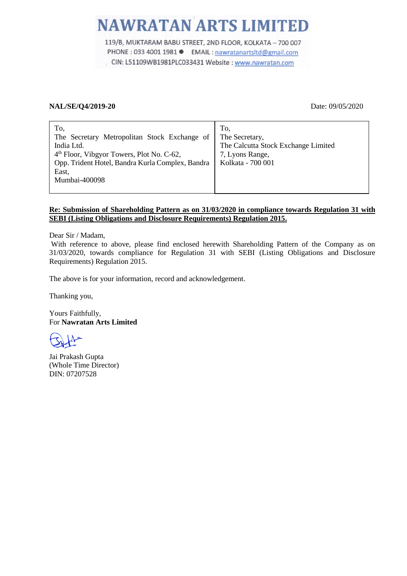# **NAWRATAN ARTS LIMITED**

119/B, MUKTARAM BABU STREET, 2ND FLOOR, KOLKATA - 700 007 PHONE : 033 4001 1981 ● EMAIL : nawratanartsltd@gmail.com CIN: L51109WB1981PLC033431 Website : www.nawratan.com

# **NAL/SE/Q4/2019-20** Date: 09/05/2020

| To,<br>The Secretary Metropolitan Stock Exchange of<br>India Ltd.<br>4 <sup>th</sup> Floor, Vibgyor Towers, Plot No. C-62,<br>Opp. Trident Hotel, Bandra Kurla Complex, Bandra<br>East,<br>Mumbai-400098 | To,<br>The Secretary,<br>The Calcutta Stock Exchange Limited<br>7, Lyons Range,<br>Kolkata - 700 001 |
|----------------------------------------------------------------------------------------------------------------------------------------------------------------------------------------------------------|------------------------------------------------------------------------------------------------------|
|----------------------------------------------------------------------------------------------------------------------------------------------------------------------------------------------------------|------------------------------------------------------------------------------------------------------|

# **Re: Submission of Shareholding Pattern as on 31/03/2020 in compliance towards Regulation 31 with SEBI (Listing Obligations and Disclosure Requirements) Regulation 2015.**

Dear Sir / Madam,

With reference to above, please find enclosed herewith Shareholding Pattern of the Company as on 31/03/2020, towards compliance for Regulation 31 with SEBI (Listing Obligations and Disclosure Requirements) Regulation 2015.

The above is for your information, record and acknowledgement.

Thanking you,

Yours Faithfully, For **Nawratan Arts Limited**

Jai Prakash Gupta (Whole Time Director) DIN: 07207528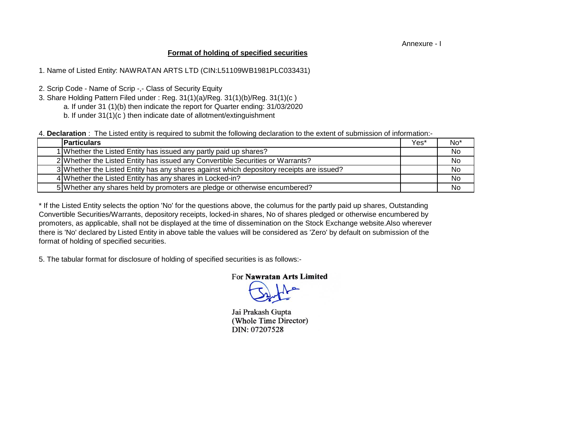Annexure - I

### **Format of holding of specified securities**

1. Name of Listed Entity: NAWRATAN ARTS LTD (CIN:L51109WB1981PLC033431)

2. Scrip Code - Name of Scrip -,- Class of Security Equity

- 3. Share Holding Pattern Filed under : Reg. 31(1)(a)/Reg. 31(1)(b)/Reg. 31(1)(c )
	- a. If under 31 (1)(b) then indicate the report for Quarter ending: 31/03/2020
	- b. If under 31(1)(c ) then indicate date of allotment/extinguishment

4. **Declaration** : The Listed entity is required to submit the following declaration to the extent of submission of information:-

| <b>Particulars</b>                                                                       | Yes* | No* |
|------------------------------------------------------------------------------------------|------|-----|
| 1 Whether the Listed Entity has issued any partly paid up shares?                        |      | No  |
| 2 Whether the Listed Entity has issued any Convertible Securities or Warrants?           |      | No  |
| 3 Whether the Listed Entity has any shares against which depository receipts are issued? |      | No. |
| 4 Whether the Listed Entity has any shares in Locked-in?                                 |      | No  |
| 5 Whether any shares held by promoters are pledge or otherwise encumbered?               |      | No. |

there is 'No' declared by Listed Entity in above table the values will be considered as 'Zero' by default on submission of the format of holding of specified securities. \* If the Listed Entity selects the option 'No' for the questions above, the columus for the partly paid up shares, Outstanding Convertible Securities/Warrants, depository receipts, locked-in shares, No of shares pledged or otherwise encumbered by promoters, as applicable, shall not be displayed at the time of dissemination on the Stock Exchange website.Also wherever

5. The tabular format for disclosure of holding of specified securities is as follows:-

# For Nawratan Arts Limited

Jai Prakash Gupta (Whole Time Director) DIN: 07207528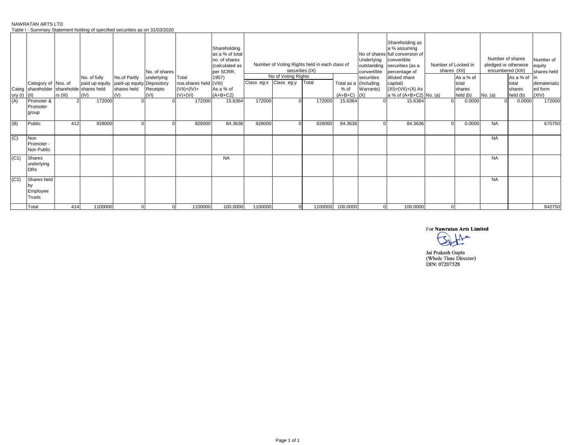NAWRATAN ARTS LTD

Table I - Summary Statement holding of specified securities as on 31/03/2020

|         |                                                                 |            | apid : Camman, Dialonioni noiaing or oppomioa ocoanlice ao on o noolEcEo |                                    |                                                 |                                                                    |                                                                                                                     |                       |                     |                                                                           |                                                  |                                                                     |                                                                                                                                                                                                           |                                     |                                          |                                                    |                                                                  |                                                                        |
|---------|-----------------------------------------------------------------|------------|--------------------------------------------------------------------------|------------------------------------|-------------------------------------------------|--------------------------------------------------------------------|---------------------------------------------------------------------------------------------------------------------|-----------------------|---------------------|---------------------------------------------------------------------------|--------------------------------------------------|---------------------------------------------------------------------|-----------------------------------------------------------------------------------------------------------------------------------------------------------------------------------------------------------|-------------------------------------|------------------------------------------|----------------------------------------------------|------------------------------------------------------------------|------------------------------------------------------------------------|
|         | Category of Nos. of<br>Categ shareholder shareholde shares held | $rs$ (III) | No. of fully<br>paid up equity paid-up equity Depository<br>(IV)         | No.of Partly<br>shares held<br>(V) | No. of shares<br>underlying<br>Receipts<br>(VI) | Total<br>nos.shares held (VIII)<br>$($ VII $)$ =(IV)+<br>$(V)+(V)$ | Shareholding<br>as a % of total<br>no. of shares<br>(calculated as<br>per SCRR,<br>1957)<br>As a % of<br>$(A+B+C2)$ | Class eg:x Class eg:y | No of Voting Rights | Number of Voting Rights held in each class of<br>securities (IX)<br>Total | Total as a (including<br>% of<br>$(A+B+C)$ $(X)$ | Underlying<br>outstanding<br>convertible<br>securities<br>Warrants) | Shareholding as<br>a % assuming<br>No of shares full conversion of<br>convertible<br>securities (as a<br>percentage of<br>diluted share<br>capital)<br>$(XI) = (VII) + (X) As$<br>a % of (A+B+C2) No. (a) | Number of Locked in<br>shares (XII) | As a % of<br>total<br>shares<br>held (b) | Number of shares<br>encumbered (XIII)<br>No. $(a)$ | pledged or otherwise<br>As a % of<br>total<br>shares<br>held (b) | Number of<br>equity<br>shares held<br>dematerializ<br>ed form<br>(XIV) |
| ory (I) |                                                                 |            |                                                                          |                                    |                                                 |                                                                    |                                                                                                                     |                       |                     |                                                                           |                                                  |                                                                     |                                                                                                                                                                                                           |                                     |                                          |                                                    |                                                                  |                                                                        |
| (A)     | Promoter &<br>Promoter<br>group                                 |            | 172000                                                                   |                                    |                                                 | 172000                                                             | 15.6364                                                                                                             | 172000                |                     | 172000                                                                    | 15.6364                                          |                                                                     | 15.6364                                                                                                                                                                                                   |                                     | 0.0000                                   |                                                    | 0.0000                                                           | 172000                                                                 |
| (B)     | Public                                                          | 412        | 928000                                                                   |                                    |                                                 | 928000                                                             | 84.3636                                                                                                             | 928000                |                     | 928000                                                                    | 84.3636                                          |                                                                     | 84.3636                                                                                                                                                                                                   |                                     | 0.0000                                   | <b>NA</b>                                          |                                                                  | 670750                                                                 |
| (C)     | Non<br>Promoter -<br>Non Public                                 |            |                                                                          |                                    |                                                 |                                                                    |                                                                                                                     |                       |                     |                                                                           |                                                  |                                                                     |                                                                                                                                                                                                           |                                     |                                          | <b>NA</b>                                          |                                                                  |                                                                        |
| (C1)    | Shares<br>underlying<br><b>DRs</b>                              |            |                                                                          |                                    |                                                 |                                                                    | <b>NA</b>                                                                                                           |                       |                     |                                                                           |                                                  |                                                                     |                                                                                                                                                                                                           |                                     |                                          | <b>NA</b>                                          |                                                                  |                                                                        |
| (C2)    | Shares held<br>Employee<br>Trusts                               |            |                                                                          |                                    |                                                 |                                                                    |                                                                                                                     |                       |                     |                                                                           |                                                  |                                                                     |                                                                                                                                                                                                           |                                     |                                          | <b>NA</b>                                          |                                                                  |                                                                        |
|         | Total                                                           | 414        | 1100000                                                                  |                                    | $\overline{0}$                                  | 1100000                                                            | 100.0000                                                                                                            | 1100000               | $\overline{0}$      | 1100000                                                                   | 100.0000                                         |                                                                     | 100.0000                                                                                                                                                                                                  |                                     |                                          |                                                    |                                                                  | 842750                                                                 |

For Nawratan Arts Limited

 $1$  $\overline{\tau}$ 

Jai Prakash Gupta<br>(Whole Time Director)<br>DIN: 07207528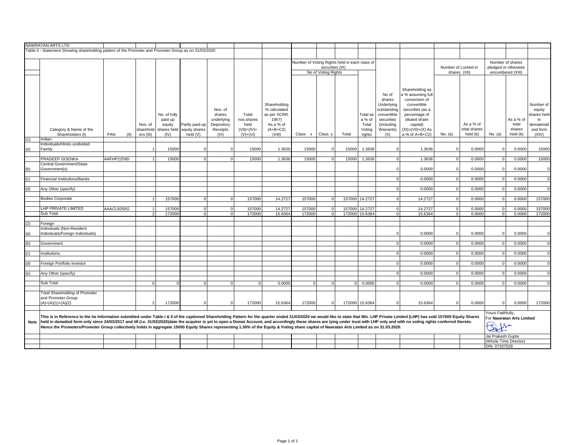|      | NAWRATAN ARTS LTD                                                                                                                                                                                                              |             |                |              |                |            |                  |              |                                               |                     |       |                |             |                       |               |              |                   |                           |                |
|------|--------------------------------------------------------------------------------------------------------------------------------------------------------------------------------------------------------------------------------|-------------|----------------|--------------|----------------|------------|------------------|--------------|-----------------------------------------------|---------------------|-------|----------------|-------------|-----------------------|---------------|--------------|-------------------|---------------------------|----------------|
|      | Table II - Statement Showing shareholding pattern of the Promoter and Promoter Group as on 31/03/2020                                                                                                                          |             |                |              |                |            |                  |              |                                               |                     |       |                |             |                       |               |              |                   |                           |                |
|      |                                                                                                                                                                                                                                |             |                |              |                |            |                  |              |                                               |                     |       |                |             |                       |               |              |                   |                           |                |
|      |                                                                                                                                                                                                                                |             |                |              |                |            |                  |              | Number of Voting Rights held in each class of |                     |       |                |             |                       |               |              |                   | Number of shares          |                |
|      | securities (IX)<br>Number of Locked in                                                                                                                                                                                         |             |                |              |                |            |                  |              | pledged or otherwise                          |                     |       |                |             |                       |               |              |                   |                           |                |
|      |                                                                                                                                                                                                                                |             |                |              |                |            |                  |              |                                               | No of Voting Rights |       |                |             |                       | shares (XII)  |              |                   | encumbered (XIII)         |                |
|      |                                                                                                                                                                                                                                |             |                |              |                |            |                  |              |                                               |                     |       |                |             |                       |               |              |                   |                           |                |
|      |                                                                                                                                                                                                                                |             |                |              |                |            |                  |              |                                               |                     |       |                |             |                       |               |              |                   |                           |                |
|      |                                                                                                                                                                                                                                |             |                |              |                |            |                  |              |                                               |                     |       |                |             |                       |               |              |                   |                           |                |
|      |                                                                                                                                                                                                                                |             |                |              |                |            |                  |              |                                               |                     |       |                |             | Shareholding as       |               |              |                   |                           |                |
|      |                                                                                                                                                                                                                                |             |                |              |                |            |                  |              |                                               |                     |       |                | No of       | a % assuming ful      |               |              |                   |                           |                |
|      |                                                                                                                                                                                                                                |             |                |              |                |            |                  |              |                                               |                     |       |                | shares      | conversion of         |               |              |                   |                           |                |
|      |                                                                                                                                                                                                                                |             |                |              |                |            |                  | Shareholding |                                               |                     |       |                | Underlying  | convertible           |               |              |                   |                           | Number of      |
|      |                                                                                                                                                                                                                                |             |                |              |                | Nos. of    |                  | % calculated |                                               |                     |       |                | outstanding | securities (as a      |               |              |                   |                           | equity         |
|      |                                                                                                                                                                                                                                |             |                | No. of fully |                | shares     | Total            | as per SCRR. |                                               |                     |       | Total as       | convertible | percentage of         |               |              |                   |                           | shares held    |
|      |                                                                                                                                                                                                                                |             |                | paid up      |                | underlying | nos.shares       | 1957)        |                                               |                     |       | a % of         | securities  | diluted share         |               |              |                   | As a % of                 | in             |
|      |                                                                                                                                                                                                                                |             | Nos. of        | equity       | Partly paid-up | Depository | held             | As a % of    |                                               |                     |       | Total          | (including  | capital)              |               | As a % of    |                   | total                     | demateriali    |
|      | Category & Name of the                                                                                                                                                                                                         |             | sharehold      | shares held  | equity shares  | Receipts   | $(VII) = (IV) +$ | $(A+B+C2)$   |                                               |                     |       | Voting         | Warrants)   | $(XI) = (VII)+(X) As$ |               | total shares |                   | shares                    | zed form       |
| (1)  | Shareholders (I)                                                                                                                                                                                                               | PAN<br>(11) | ers (III)      | (IV)         | held (V)       | (VI)       | $(V)+(VI)$       | (VIII)       | Class x                                       | Class y             | Total | rights         | (X)         | a % of A+B+C2)        | No. (a)       | held (b)     | No. (a)           | held (b)                  | (XIV)          |
|      | Indian<br>Individuals/Hindu undivided                                                                                                                                                                                          |             |                |              |                |            |                  |              |                                               |                     |       |                |             |                       |               |              |                   |                           |                |
|      | Family                                                                                                                                                                                                                         |             |                | 15000        |                |            | 15000            | 1.3636       | 15000                                         |                     | 15000 | 1.3636         |             | 1.3636                |               | 0.0000       |                   | 0.0000                    | 15000          |
| (a)  |                                                                                                                                                                                                                                |             |                |              |                |            |                  |              |                                               |                     |       |                |             |                       |               |              |                   |                           |                |
|      | PRADEEP GOENKA                                                                                                                                                                                                                 | AAFHP2259D  |                | 15000        | $\overline{0}$ | $\circ$    | 15000            | 1.3636       | 15000                                         | $\Omega$            | 15000 | 1.3636         |             | 1.3636                | οI            | 0.0000       | $\Omega$          | 0.0000                    | 15000          |
|      | Central Government/State                                                                                                                                                                                                       |             |                |              |                |            |                  |              |                                               |                     |       |                |             |                       |               |              |                   |                           |                |
| (b)  | Government(s)                                                                                                                                                                                                                  |             |                |              |                |            |                  |              |                                               |                     |       |                |             | 0.0000                | $\Omega$      | 0.0000       | n                 | 0.0000                    | $\Omega$       |
|      |                                                                                                                                                                                                                                |             |                |              |                |            |                  |              |                                               |                     |       |                |             |                       |               |              |                   |                           |                |
| (c)  | Financial Institutions/Banks                                                                                                                                                                                                   |             |                |              |                |            |                  |              |                                               |                     |       |                |             | 0.0000                | $\Omega$      | 0.0000       | $\Omega$          | 0.0000                    | $\Omega$       |
|      |                                                                                                                                                                                                                                |             |                |              |                |            |                  |              |                                               |                     |       |                |             |                       |               |              |                   |                           |                |
| (d)  | Any Other (specify)                                                                                                                                                                                                            |             |                |              |                |            |                  |              |                                               |                     |       |                |             | 0.0000                | $\Omega$      | 0.0000       | $\Omega$          | 0.0000                    | $\Omega$       |
|      |                                                                                                                                                                                                                                |             |                |              |                |            |                  |              |                                               |                     |       |                |             |                       |               |              |                   |                           |                |
|      | <b>Bodies Corporate</b>                                                                                                                                                                                                        |             |                | 157000       | $\Omega$       | $\Omega$   | 157000           | 14.2727      | 157000                                        |                     |       | 157000 14.2727 |             | 14.2727               | $\Omega$      | 0.0000       |                   | 0.0000                    | 157000         |
|      |                                                                                                                                                                                                                                |             |                |              |                |            |                  |              |                                               |                     |       |                |             |                       |               |              |                   |                           |                |
|      | LHP PRIVATE LIMITED                                                                                                                                                                                                            | AAACL9250G  | 11             | 157000       | $\overline{0}$ | $\circ$    | 157000           | 14.2727      | 157000                                        | $\Omega$            |       | 157000 14.2727 | $\Omega$    | 14.2727               | $\Omega$      | 0.0000       | $\Omega$          | 0.0000                    | 157000         |
|      | Sub Total                                                                                                                                                                                                                      |             | 2 <sup>1</sup> | 172000       | $\overline{0}$ | $\circ$    | 172000           | 15.6364      | 172000                                        | $\Omega$            |       | 172000 15.6364 |             | 15.6364               | 0             | 0.0000       | $\Omega$          | 0.0000                    | 172000         |
|      |                                                                                                                                                                                                                                |             |                |              |                |            |                  |              |                                               |                     |       |                |             |                       |               |              |                   |                           |                |
| (2)  | Foreign                                                                                                                                                                                                                        |             |                |              |                |            |                  |              |                                               |                     |       |                |             |                       |               |              |                   |                           |                |
|      | Individuals (Non-Resident<br>Individuals/Foreign Individuals)                                                                                                                                                                  |             |                |              |                |            |                  |              |                                               |                     |       |                |             | 0.0000                | $\Omega$      | 0.0000       |                   | 0.0000                    | $\Omega$       |
| (a)  |                                                                                                                                                                                                                                |             |                |              |                |            |                  |              |                                               |                     |       |                |             |                       |               |              |                   |                           |                |
| (b)  | Government                                                                                                                                                                                                                     |             |                |              |                |            |                  |              |                                               |                     |       |                | n           | 0.0000                | $\Omega$      | 0.0000       | $\Omega$          | 0.0000                    | $\overline{0}$ |
|      |                                                                                                                                                                                                                                |             |                |              |                |            |                  |              |                                               |                     |       |                |             |                       |               |              |                   |                           |                |
| (c)  | Institutions                                                                                                                                                                                                                   |             |                |              |                |            |                  |              |                                               |                     |       |                |             | 0.0000                | $\circ$       | 0.0000       | $\Omega$          | 0.0000                    | $\overline{0}$ |
|      |                                                                                                                                                                                                                                |             |                |              |                |            |                  |              |                                               |                     |       |                |             |                       |               |              |                   |                           |                |
| (d)  | Foreign Portfolio Investor                                                                                                                                                                                                     |             |                |              |                |            |                  |              |                                               |                     |       |                |             | 0.0000                | $\Omega$      | 0.0000       | $\Omega$          | 0.0000                    | $\Omega$       |
|      |                                                                                                                                                                                                                                |             |                |              |                |            |                  |              |                                               |                     |       |                |             |                       |               |              |                   |                           |                |
| (e)  | Any Other (specify)                                                                                                                                                                                                            |             |                |              |                |            |                  |              |                                               |                     |       |                |             | 0.0000                | $\Omega$      | 0.0000       | $\Omega$          | 0.0000                    | $\overline{0}$ |
|      |                                                                                                                                                                                                                                |             |                |              |                |            |                  |              |                                               |                     |       |                |             |                       |               |              |                   |                           |                |
|      | Sub Total                                                                                                                                                                                                                      |             | $\Omega$       |              | $\overline{0}$ | $\Omega$   | $\Omega$         | 0.0000       | $\mathbf 0$                                   |                     |       | 0 0.0000       |             | 0.0000                | $\Omega$      | 0.0000       |                   | 0.0000                    | $\Omega$       |
|      |                                                                                                                                                                                                                                |             |                |              |                |            |                  |              |                                               |                     |       |                |             |                       |               |              |                   |                           |                |
|      | <b>Total Shareholding of Promoter</b>                                                                                                                                                                                          |             |                |              |                |            |                  |              |                                               |                     |       |                |             |                       |               |              |                   |                           |                |
|      | and Promoter Group                                                                                                                                                                                                             |             |                |              |                |            |                  |              |                                               |                     |       |                |             |                       |               |              |                   |                           |                |
|      | $(A)=(A)(1)+(A)(2)$                                                                                                                                                                                                            |             |                | 172000       | $\Omega$       |            | 172000           | 15.6364      | 172000                                        |                     |       | 172000 15.6364 |             | 15.6364               | <sup>0</sup>  | 0.0000       | $\Omega$          | 0.0000                    | 172000         |
|      |                                                                                                                                                                                                                                |             |                |              |                |            |                  |              |                                               |                     |       |                |             |                       |               |              |                   |                           |                |
|      | This is in Reference to the he Information submitted under Table I & II of the captioned Shareholding Pattern for the quarter ended 31/03/2020 we would like to state that M/s. LHP Private Limited (LHP) has sold 157000 Equi |             |                |              |                |            |                  |              |                                               |                     |       |                |             |                       |               |              | Yours Faithfully, | For Nawratan Arts Limited |                |
| Note | held in dematted form only since 24/03/2017 and till (i.e. 31/03/2020)date the acquirer is yet to open a Demat Account, and accordingly these shares are lying under trust with LHP only and with no voting rights conferred t |             |                |              |                |            |                  |              |                                               |                     |       |                |             |                       |               |              |                   |                           |                |
|      | Hence the Promoters/Promoter Group collectively holds in aggregate 15000 Equity Shares representing 1.36% of the Equity & Voting share capital of Nawratan Arts Limited as on 31.03.2020.                                      |             |                |              |                |            |                  |              |                                               |                     |       |                |             |                       |               |              | Sente             |                           |                |
|      |                                                                                                                                                                                                                                |             |                |              |                |            |                  |              |                                               |                     |       |                |             |                       |               |              |                   |                           |                |
|      |                                                                                                                                                                                                                                |             |                |              |                |            |                  |              |                                               |                     |       |                |             |                       |               |              | Jai Prakash Gupta |                           |                |
|      |                                                                                                                                                                                                                                |             |                |              |                |            |                  |              |                                               |                     |       |                |             |                       |               |              |                   | (Whole Time Director)     |                |
|      |                                                                                                                                                                                                                                |             |                |              |                |            |                  |              |                                               |                     |       |                |             |                       | DIN: 07207528 |              |                   |                           |                |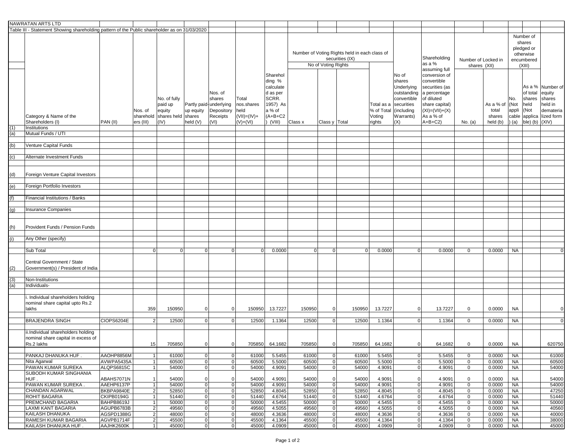|                   | NAWRATAN ARTS LTD                                                                             |                          |                                   |                                                                 |                       |                                                                               |                                                               |                                                                                                   |                                                                                         |                            |                |                                              |                                                                                                             |                                                                                                                                                 |                              |                                          |                                                                        |                                                                               |                                                                            |
|-------------------|-----------------------------------------------------------------------------------------------|--------------------------|-----------------------------------|-----------------------------------------------------------------|-----------------------|-------------------------------------------------------------------------------|---------------------------------------------------------------|---------------------------------------------------------------------------------------------------|-----------------------------------------------------------------------------------------|----------------------------|----------------|----------------------------------------------|-------------------------------------------------------------------------------------------------------------|-------------------------------------------------------------------------------------------------------------------------------------------------|------------------------------|------------------------------------------|------------------------------------------------------------------------|-------------------------------------------------------------------------------|----------------------------------------------------------------------------|
|                   | Table III - Statement Showing shareholding pattern of the Public shareholder as on 31/03/2020 |                          |                                   |                                                                 |                       |                                                                               |                                                               |                                                                                                   |                                                                                         |                            |                |                                              |                                                                                                             |                                                                                                                                                 |                              |                                          |                                                                        |                                                                               |                                                                            |
|                   |                                                                                               |                          |                                   |                                                                 |                       |                                                                               |                                                               |                                                                                                   | Number of Voting Rights held in each class of<br>securities (IX)<br>No of Voting Rights |                            |                |                                              | Shareholding<br>as a %<br>assuming full                                                                     | Number of Locked in<br>shares (XII)                                                                                                             |                              |                                          | Number of<br>shares<br>pledged or<br>otherwise<br>encumbered<br>(XIII) |                                                                               |                                                                            |
|                   | Category & Name of the<br>Shareholders (I)<br>Institutions                                    | PAN (II)                 | Nos. of<br>sharehold<br>ers (III) | No. of fully<br>paid up<br>equity<br>shares held shares<br>(IV) | up equity<br>held (V) | Nos. of<br>shares<br>Partly paid underlying<br>Depository<br>Receipts<br>(VI) | Total<br>nos.shares<br>held<br>$(VII) = (IV) +$<br>$(V)+(VI)$ | Sharehol<br>ding %<br>calculate<br>d as per<br>SCRR.<br>1957) As<br>a % of<br>$(A+B+C2$<br>(VIII) | Class x                                                                                 | Class y   Total            |                | Total as a<br>% of Total<br>Voting<br>rights | No of<br>shares<br>Underlying<br>outstanding<br>convertible<br>securities<br>(including<br>Warrants)<br>(X) | conversion of<br>convertible<br>securities (as<br>a percentage<br>of diluted<br>share capital)<br>$(XI) = (VII) + (X)$<br>As a % of<br>$A+B+C2$ | No. (a)                      | As a % of<br>total<br>shares<br>held (b) | No.<br>(Not<br>appli                                                   | of total<br>shares<br>held<br>(Not<br>cable applica<br>$(a)$ ble) (b) $(XIV)$ | As a % Number of<br>equity<br>shares<br>held in<br>demateria<br>lized form |
| $\frac{(1)}{(a)}$ | Mutual Funds / UTI                                                                            |                          |                                   |                                                                 |                       |                                                                               |                                                               |                                                                                                   |                                                                                         |                            |                |                                              |                                                                                                             |                                                                                                                                                 |                              |                                          |                                                                        |                                                                               |                                                                            |
|                   |                                                                                               |                          |                                   |                                                                 |                       |                                                                               |                                                               |                                                                                                   |                                                                                         |                            |                |                                              |                                                                                                             |                                                                                                                                                 |                              |                                          |                                                                        |                                                                               |                                                                            |
| (b)               | Venture Capital Funds                                                                         |                          |                                   |                                                                 |                       |                                                                               |                                                               |                                                                                                   |                                                                                         |                            |                |                                              |                                                                                                             |                                                                                                                                                 |                              |                                          |                                                                        |                                                                               |                                                                            |
| $\overline{c}$    | Alternate Investment Funds                                                                    |                          |                                   |                                                                 |                       |                                                                               |                                                               |                                                                                                   |                                                                                         |                            |                |                                              |                                                                                                             |                                                                                                                                                 |                              |                                          |                                                                        |                                                                               |                                                                            |
|                   |                                                                                               |                          |                                   |                                                                 |                       |                                                                               |                                                               |                                                                                                   |                                                                                         |                            |                |                                              |                                                                                                             |                                                                                                                                                 |                              |                                          |                                                                        |                                                                               |                                                                            |
| (d)               | Foreign Venture Capital Investors                                                             |                          |                                   |                                                                 |                       |                                                                               |                                                               |                                                                                                   |                                                                                         |                            |                |                                              |                                                                                                             |                                                                                                                                                 |                              |                                          |                                                                        |                                                                               |                                                                            |
| (e)               | Foreign Portfolio Investors                                                                   |                          |                                   |                                                                 |                       |                                                                               |                                                               |                                                                                                   |                                                                                         |                            |                |                                              |                                                                                                             |                                                                                                                                                 |                              |                                          |                                                                        |                                                                               |                                                                            |
|                   |                                                                                               |                          |                                   |                                                                 |                       |                                                                               |                                                               |                                                                                                   |                                                                                         |                            |                |                                              |                                                                                                             |                                                                                                                                                 |                              |                                          |                                                                        |                                                                               |                                                                            |
| (f)               | Financial Institutions / Banks                                                                |                          |                                   |                                                                 |                       |                                                                               |                                                               |                                                                                                   |                                                                                         |                            |                |                                              |                                                                                                             |                                                                                                                                                 |                              |                                          |                                                                        |                                                                               |                                                                            |
| (g)               | <b>Insurance Companies</b>                                                                    |                          |                                   |                                                                 |                       |                                                                               |                                                               |                                                                                                   |                                                                                         |                            |                |                                              |                                                                                                             |                                                                                                                                                 |                              |                                          |                                                                        |                                                                               |                                                                            |
|                   |                                                                                               |                          |                                   |                                                                 |                       |                                                                               |                                                               |                                                                                                   |                                                                                         |                            |                |                                              |                                                                                                             |                                                                                                                                                 |                              |                                          |                                                                        |                                                                               |                                                                            |
| (h)               | Provident Funds / Pension Funds                                                               |                          |                                   |                                                                 |                       |                                                                               |                                                               |                                                                                                   |                                                                                         |                            |                |                                              |                                                                                                             |                                                                                                                                                 |                              |                                          |                                                                        |                                                                               |                                                                            |
| (i)               | Any Other (specify)                                                                           |                          |                                   |                                                                 |                       |                                                                               |                                                               |                                                                                                   |                                                                                         |                            |                |                                              |                                                                                                             |                                                                                                                                                 |                              |                                          |                                                                        |                                                                               |                                                                            |
|                   | Sub Total                                                                                     |                          | $\overline{0}$                    | $\Omega$                                                        | $\Omega$              | 0                                                                             | $\overline{0}$                                                | 0.0000                                                                                            | $\Omega$                                                                                |                            | $\overline{0}$ | 0.0000                                       | $\overline{0}$                                                                                              | 0.0000                                                                                                                                          | 0                            | 0.0000                                   | <b>NA</b>                                                              |                                                                               |                                                                            |
| (2)               | Central Government / State<br>Government(s) / President of India                              |                          |                                   |                                                                 |                       |                                                                               |                                                               |                                                                                                   |                                                                                         |                            |                |                                              |                                                                                                             |                                                                                                                                                 |                              |                                          |                                                                        |                                                                               |                                                                            |
|                   |                                                                                               |                          |                                   |                                                                 |                       |                                                                               |                                                               |                                                                                                   |                                                                                         |                            |                |                                              |                                                                                                             |                                                                                                                                                 |                              |                                          |                                                                        |                                                                               |                                                                            |
| $\frac{(3)}{(a)}$ | Non-Institutions<br>Individuals-                                                              |                          |                                   |                                                                 |                       |                                                                               |                                                               |                                                                                                   |                                                                                         |                            |                |                                              |                                                                                                             |                                                                                                                                                 |                              |                                          |                                                                        |                                                                               |                                                                            |
|                   |                                                                                               |                          |                                   |                                                                 |                       |                                                                               |                                                               |                                                                                                   |                                                                                         |                            |                |                                              |                                                                                                             |                                                                                                                                                 |                              |                                          |                                                                        |                                                                               |                                                                            |
|                   | . Individual shareholders holding<br>nominal share capital upto Rs.2<br>lakhs                 |                          | 359                               | 150950                                                          | 0                     | $\mathbf 0$                                                                   | 150950                                                        | 13.7227                                                                                           | 150950                                                                                  | $\Omega$                   | 150950         | 13.7227                                      | $\mathbf 0$                                                                                                 | 13.7227                                                                                                                                         | 0                            | 0.0000                                   | <b>NA</b>                                                              |                                                                               |                                                                            |
|                   | <b>BRAJENDRA SINGH</b>                                                                        | CIOPS6204E               | $\overline{2}$                    | 12500                                                           | $\Omega$              | $\mathbf 0$                                                                   | 12500                                                         | 1.1364                                                                                            | 12500                                                                                   | 0                          | 12500          | 1.1364                                       | $\overline{0}$                                                                                              | 1.1364                                                                                                                                          | $\mathbf{0}$                 | 0.0000                                   | <b>NA</b>                                                              |                                                                               | $\Omega$                                                                   |
|                   | ii.Individual shareholders holding<br>nominal share capital in excess of<br>Rs.2 lakhs        |                          | 15                                | 705850                                                          | 0                     | $\mathbf 0$                                                                   | 705850                                                        | 64.1682                                                                                           | 705850                                                                                  | $\Omega$                   | 705850         | 64.1682                                      | $\overline{0}$                                                                                              | 64.1682                                                                                                                                         | $\mathbf 0$                  | 0.0000                                   | <b>NA</b>                                                              |                                                                               | 620750                                                                     |
|                   | PANKAJ DHANUKA HUF.                                                                           | AAOHP8856M               | $\overline{1}$                    | 61000                                                           | $\mathbf 0$           | $\overline{0}$                                                                | 61000                                                         | 5.5455                                                                                            | 61000                                                                                   | 0                          | 61000          | 5.5455                                       | $\overline{0}$                                                                                              | 5.5455                                                                                                                                          | $\mathbf 0$                  | 0.0000                                   | <b>NA</b>                                                              |                                                                               | 61000                                                                      |
|                   | Nita Agarwal                                                                                  | AVWPA5435A               | $\mathbf{1}$                      | 60500                                                           | $\mathbf 0$           | $\overline{0}$                                                                | 60500                                                         | 5.5000                                                                                            | 60500                                                                                   | $\Omega$                   | 60500          | 5.5000                                       | $\overline{0}$                                                                                              | 5.5000                                                                                                                                          | 0                            | 0.0000                                   | <b>NA</b>                                                              |                                                                               | 60500                                                                      |
|                   | PAWAN KUMAR SUREKA                                                                            | ALQPS6815C               | $\mathbf{1}$                      | 54000                                                           | $\overline{0}$        | $\overline{0}$                                                                | 54000                                                         | 4.9091                                                                                            | 54000                                                                                   | $\mathbf 0$                | 54000          | 4.9091                                       | $\overline{0}$                                                                                              | 4.9091                                                                                                                                          | $\mathbf 0$                  | 0.0000                                   | <b>NA</b>                                                              |                                                                               | 54000                                                                      |
|                   | SUBODH KUMAR SINGHANIA<br>HUF.                                                                | ABAHS7071N               | $\mathbf 1$                       | 54000                                                           | 0                     | $\overline{0}$                                                                | 54000                                                         | 4.9091                                                                                            | 54000                                                                                   | 0                          | 54000          | 4.9091                                       | $\overline{0}$                                                                                              | 4.9091                                                                                                                                          | $\mathbf 0$                  | 0.0000                                   | <b>NA</b>                                                              |                                                                               | 54000                                                                      |
|                   | PAWAN KUMAR SUREKA.                                                                           | AAEHP6137P               | $\mathbf{1}$                      | 54000                                                           | $\overline{0}$        | $\overline{0}$                                                                | 54000                                                         | 4.9091                                                                                            | 54000                                                                                   | $\mathbf 0$                | 54000          | 4.9091                                       | $\overline{0}$                                                                                              | 4.9091                                                                                                                                          | $\mathbf 0$                  | 0.0000                                   | <b>NA</b>                                                              |                                                                               | 54000                                                                      |
|                   | CHANDAN AGARWAL                                                                               | BKBPA9840E               | $\overline{2}$                    | 52850                                                           | 0                     | $\overline{0}$                                                                | 52850                                                         | 4.8045                                                                                            | 52850                                                                                   | $\overline{0}$             | 52850          | 4.8045                                       | $\overline{0}$                                                                                              | 4.8045                                                                                                                                          | $\mathbf 0$                  | 0.0000                                   | <b>NA</b>                                                              |                                                                               | 47250                                                                      |
|                   | ROHIT BAGARIA                                                                                 | CKIPB0194G               | $\mathbf{1}$                      | 51440                                                           | $\pmb{0}$             | $\overline{0}$                                                                | 51440                                                         | 4.6764                                                                                            | 51440                                                                                   | $\Omega$                   | 51440          | 4.6764                                       | $\overline{0}$                                                                                              | 4.6764                                                                                                                                          | $\mathbf 0$                  | 0.0000                                   | <b>NA</b>                                                              |                                                                               | 51440                                                                      |
|                   | PREMCHAND BAGARIA                                                                             | BAHPB8619J               | $\mathbf{1}$                      | 50000                                                           | 0                     | $\overline{0}$                                                                | 50000                                                         | 4.5455                                                                                            | 50000                                                                                   | $\mathbf 0$                | 50000          | 4.5455                                       | $\overline{0}$                                                                                              | 4.5455                                                                                                                                          | 0                            | 0.0000                                   | <b>NA</b>                                                              |                                                                               | 50000                                                                      |
|                   | LAXMI KANT BAGARIA<br>KAILASH DHANUKA                                                         | AGUPB6783B               | $\overline{2}$                    | 49560                                                           | 0                     | $\overline{0}$                                                                | 49560                                                         | 4.5055                                                                                            | 49560                                                                                   | $\overline{0}$<br>$\Omega$ | 49560          | 4.5055                                       | $\overline{0}$                                                                                              | 4.5055                                                                                                                                          | 0                            | 0.0000                                   | <b>NA</b>                                                              |                                                                               | 40560                                                                      |
|                   | RAMESH KUMAR BAGARIA                                                                          | AGSPD1388G<br>AGVPB1714F | $\overline{2}$<br>$\overline{2}$  | 48000<br>45500                                                  | $\mathbf 0$<br> 0     | $\overline{0}$<br>$\overline{0}$                                              | 48000<br>45500                                                | 4.3636<br>4.1364                                                                                  | 48000<br>45500                                                                          | $\mathbf 0$                | 48000<br>45500 | 4.3636<br>4.1364                             | $\overline{0}$<br> 0                                                                                        | 4.3636<br>4.1364                                                                                                                                | $\mathbf{0}$<br>$\mathbf{0}$ | 0.0000<br>0.0000                         | NA<br><b>NA</b>                                                        |                                                                               | 40000<br>38000                                                             |
|                   | KAILASH DHANUKA HUF.                                                                          | AAJHK2600K               | $\mathbf{1}$                      | 45000                                                           | 0                     | $\overline{0}$                                                                | 45000                                                         | 4.0909                                                                                            | 45000                                                                                   | 0                          | 45000          | 4.0909                                       | $\overline{0}$                                                                                              | 4.0909                                                                                                                                          | $\mathbf{0}$                 | 0.0000                                   | <b>NA</b>                                                              |                                                                               | 45000                                                                      |
|                   |                                                                                               |                          |                                   |                                                                 |                       |                                                                               |                                                               |                                                                                                   |                                                                                         |                            |                |                                              |                                                                                                             |                                                                                                                                                 |                              |                                          |                                                                        |                                                                               |                                                                            |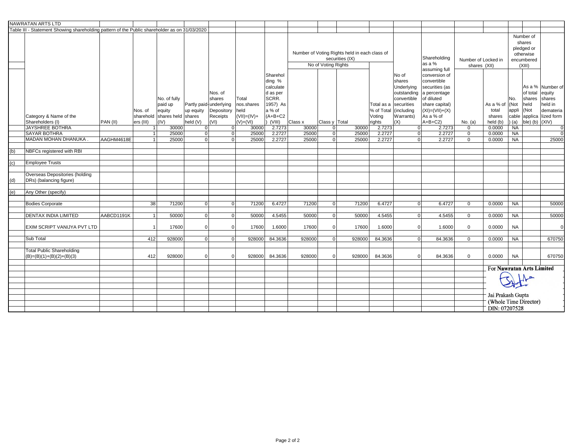|     | <b>NAWRATAN ARTS LTD</b>                                                                      |            |              |                              |                |                                      |                    |                                 |                                               |                     |                 |        |                                                |                               |                                                |                                                |                                        |               |                    |                      |  |
|-----|-----------------------------------------------------------------------------------------------|------------|--------------|------------------------------|----------------|--------------------------------------|--------------------|---------------------------------|-----------------------------------------------|---------------------|-----------------|--------|------------------------------------------------|-------------------------------|------------------------------------------------|------------------------------------------------|----------------------------------------|---------------|--------------------|----------------------|--|
|     | Table III - Statement Showing shareholding pattern of the Public shareholder as on 31/03/2020 |            |              |                              |                |                                      |                    |                                 |                                               |                     |                 |        |                                                |                               |                                                |                                                |                                        |               |                    |                      |  |
|     |                                                                                               |            |              |                              |                |                                      |                    |                                 | Number of Voting Rights held in each class of |                     |                 |        |                                                |                               |                                                | Number of<br>shares<br>pledged or<br>otherwise |                                        |               |                    |                      |  |
|     |                                                                                               |            |              |                              |                |                                      |                    |                                 |                                               | No of Voting Rights | securities (IX) |        |                                                |                               | Shareholding<br>as a %                         | Number of Locked in                            |                                        |               | encumbered         |                      |  |
|     |                                                                                               |            |              |                              |                |                                      |                    |                                 |                                               |                     |                 |        |                                                |                               | assuming full                                  | shares (XII)                                   |                                        |               | (XIII)             |                      |  |
|     |                                                                                               |            |              |                              |                |                                      |                    | Sharehol<br>ding %<br>calculate |                                               |                     |                 |        |                                                | No of<br>shares<br>Underlying | conversion of<br>convertible<br>securities (as |                                                |                                        |               |                    | As a % Number of     |  |
|     |                                                                                               |            |              | No. of fully                 |                | Nos. of<br>shares                    | Total              | d as per<br>SCRR.               |                                               |                     |                 |        |                                                | outstanding<br>convertible    | a percentage<br>of diluted                     |                                                |                                        | No.           | of total<br>shares | equity<br>shares     |  |
|     |                                                                                               |            | Nos. of      | paid up<br>equity            | up equity      | Partly paid-underlying<br>Depository | nos.shares<br>held | 1957) As<br>a % of              |                                               |                     |                 |        | Total as a securities<br>% of Total (including |                               | share capital)<br>$(XI) = (VII) + (X)$         |                                                | As a % of<br>total                     | (Not<br>appli | held<br>(Not       | held in<br>demateria |  |
|     | Category & Name of the                                                                        |            |              | sharehold shares held shares |                | Receipts                             | $(VII) = (IV) +$   | $(A+B+C2)$                      |                                               |                     |                 |        | Voting                                         | Warrants)                     | As a % of                                      |                                                | shares                                 |               | cable applica      | lized form           |  |
|     | Shareholders (I)                                                                              | PAN (II)   | ers (III)    | (IV)                         | held (V)       | (VI)                                 | $(V)+(VI)$         | (VIII)                          | Class x                                       | Class y Total       |                 |        | rights                                         | (X)                           | $A+B+C2$                                       | No. (a)                                        | held (b)                               | (a)           | $ble)$ (b)         | (XIV)                |  |
|     | <b>JAYSHREE BOTHRA</b>                                                                        |            | $\mathbf{1}$ | 30000                        | 0              | 0                                    | 30000              | 2.7273                          | 30000                                         | $\Omega$            |                 | 30000  | 2.7273                                         | $\Omega$                      | 2.7273                                         | $\mathbf{0}$                                   | 0.0000                                 | NA            |                    | $\overline{0}$       |  |
|     | <b>SAYAR BOTHRA</b>                                                                           |            |              | 25000                        | $\overline{0}$ | 0                                    | 25000              | 2.2727                          | 25000                                         | $\Omega$            |                 | 25000  | 2.2727                                         | $\overline{0}$                | 2.2727                                         | $\overline{0}$                                 | 0.0000                                 | <b>NA</b>     |                    | $\Omega$             |  |
|     | MADAN MOHAN DHANUKA.                                                                          | AAGHM4618E |              | 25000                        | 0              | $\Omega$                             | 25000              | 2.2727                          | 25000                                         | $\overline{0}$      |                 | 25000  | 2.2727                                         | $\Omega$                      | 2.2727                                         | $\mathbf 0$                                    | 0.0000                                 | <b>NA</b>     |                    | 25000                |  |
|     |                                                                                               |            |              |                              |                |                                      |                    |                                 |                                               |                     |                 |        |                                                |                               |                                                |                                                |                                        |               |                    |                      |  |
| (b) | NBFCs registered with RBI                                                                     |            |              |                              |                |                                      |                    |                                 |                                               |                     |                 |        |                                                |                               |                                                |                                                |                                        |               |                    |                      |  |
|     |                                                                                               |            |              |                              |                |                                      |                    |                                 |                                               |                     |                 |        |                                                |                               |                                                |                                                |                                        |               |                    |                      |  |
| (c) | <b>Employee Trusts</b>                                                                        |            |              |                              |                |                                      |                    |                                 |                                               |                     |                 |        |                                                |                               |                                                |                                                |                                        |               |                    |                      |  |
|     |                                                                                               |            |              |                              |                |                                      |                    |                                 |                                               |                     |                 |        |                                                |                               |                                                |                                                |                                        |               |                    |                      |  |
|     | <b>Overseas Depositories (holding</b>                                                         |            |              |                              |                |                                      |                    |                                 |                                               |                     |                 |        |                                                |                               |                                                |                                                |                                        |               |                    |                      |  |
| (d) | DRs) (balancing figure)                                                                       |            |              |                              |                |                                      |                    |                                 |                                               |                     |                 |        |                                                |                               |                                                |                                                |                                        |               |                    |                      |  |
| (e) | Any Other (specify)                                                                           |            |              |                              |                |                                      |                    |                                 |                                               |                     |                 |        |                                                |                               |                                                |                                                |                                        |               |                    |                      |  |
|     |                                                                                               |            |              |                              |                |                                      |                    |                                 |                                               |                     |                 |        |                                                |                               |                                                |                                                |                                        |               |                    |                      |  |
|     | <b>Bodies Corporate</b>                                                                       |            | 38           | 71200                        | $\overline{0}$ | $\overline{0}$                       | 71200              | 6.4727                          | 71200                                         | $\Omega$            |                 | 71200  | 6.4727                                         | $\Omega$                      | 6.4727                                         | $\overline{0}$                                 | 0.0000                                 | <b>NA</b>     |                    | 50000                |  |
|     |                                                                                               |            |              |                              |                |                                      |                    |                                 |                                               |                     |                 |        |                                                |                               |                                                |                                                |                                        |               |                    |                      |  |
|     | <b>DENTAX INDIA LIMITED</b>                                                                   | AABCD1191K |              | 50000                        | $\overline{0}$ | $\overline{0}$                       | 50000              | 4.5455                          | 50000                                         | $\overline{0}$      |                 | 50000  | 4.5455                                         | $\overline{0}$                | 4.5455                                         | $\overline{0}$                                 | 0.0000                                 | <b>NA</b>     |                    | 50000                |  |
|     | EXIM SCRIPT VANIJYA PVT LTD                                                                   |            |              | 17600                        | $\overline{0}$ | $\overline{0}$                       | 17600              | 1.6000                          | 17600                                         | $\mathbf{0}$        |                 | 17600  | 1.6000                                         | $\Omega$                      | 1.6000                                         | $\mathbf{0}$                                   | 0.0000                                 | <b>NA</b>     |                    | $\overline{0}$       |  |
|     |                                                                                               |            |              |                              |                |                                      |                    |                                 |                                               |                     |                 |        |                                                |                               |                                                |                                                |                                        |               |                    |                      |  |
|     | Sub Total                                                                                     |            | 412          | 928000                       | $\overline{0}$ | $\overline{0}$                       | 928000             | 84.3636                         | 928000                                        | $\overline{0}$      |                 | 928000 | 84.3636                                        | $\Omega$                      | 84.3636                                        | $\overline{0}$                                 | 0.0000                                 | NA            |                    | 670750               |  |
|     | <b>Total Public Shareholding</b><br>$(B)=(B)(1)+(B)(2)+(B)(3)$                                |            | 412          | 928000                       | 0              | 0                                    | 928000             | 84.3636                         | 928000                                        | $\Omega$            |                 | 928000 | 84.3636                                        | $\Omega$                      | 84.3636                                        | $\mathbf 0$                                    | 0.0000                                 | <b>NA</b>     |                    | 670750               |  |
|     |                                                                                               |            |              |                              |                |                                      |                    |                                 |                                               |                     |                 |        |                                                |                               |                                                |                                                |                                        |               |                    |                      |  |
|     |                                                                                               |            |              |                              |                |                                      |                    |                                 |                                               |                     |                 |        |                                                |                               |                                                |                                                | For Nawratan Arts Limited              |               |                    |                      |  |
|     |                                                                                               |            |              |                              |                |                                      |                    |                                 |                                               |                     |                 |        |                                                |                               |                                                |                                                |                                        |               |                    |                      |  |
|     |                                                                                               |            |              |                              |                |                                      |                    |                                 |                                               |                     |                 |        |                                                |                               |                                                |                                                |                                        |               |                    |                      |  |
|     |                                                                                               |            |              |                              |                |                                      |                    |                                 |                                               |                     |                 |        |                                                |                               |                                                |                                                |                                        |               |                    |                      |  |
|     |                                                                                               |            |              |                              |                |                                      |                    |                                 |                                               |                     |                 |        |                                                |                               |                                                |                                                | Jai Prakash Gupta                      |               |                    |                      |  |
|     |                                                                                               |            |              |                              |                |                                      |                    |                                 |                                               |                     |                 |        |                                                |                               |                                                |                                                |                                        |               |                    |                      |  |
|     |                                                                                               |            |              |                              |                |                                      |                    |                                 |                                               |                     |                 |        |                                                |                               |                                                |                                                | (Whole Time Director)<br>DIN: 07207528 |               |                    |                      |  |
|     |                                                                                               |            |              |                              |                |                                      |                    |                                 |                                               |                     |                 |        |                                                |                               |                                                |                                                |                                        |               |                    |                      |  |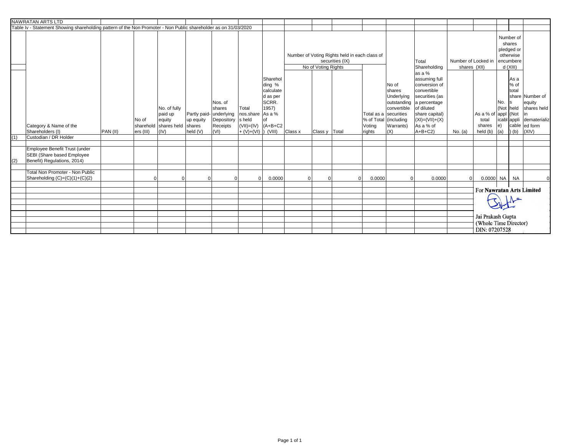|     | <b>NAWRATAN ARTS LTD</b>                                                                                        |          |                                                                                         |                                                                           |                                                  |                                                            |                                                                                      |                                                                                   |                                  |                                     |                                           |                                                                                           |                                                                                                                                                                              |          |                                                             |                   |                                                  |                                                                                                       |
|-----|-----------------------------------------------------------------------------------------------------------------|----------|-----------------------------------------------------------------------------------------|---------------------------------------------------------------------------|--------------------------------------------------|------------------------------------------------------------|--------------------------------------------------------------------------------------|-----------------------------------------------------------------------------------|----------------------------------|-------------------------------------|-------------------------------------------|-------------------------------------------------------------------------------------------|------------------------------------------------------------------------------------------------------------------------------------------------------------------------------|----------|-------------------------------------------------------------|-------------------|--------------------------------------------------|-------------------------------------------------------------------------------------------------------|
|     | Table Iv - Statement Showing shareholding pattern of the Non Promoter - Non Public shareholder as on 31/03/2020 |          |                                                                                         |                                                                           |                                                  |                                                            |                                                                                      |                                                                                   |                                  |                                     |                                           |                                                                                           |                                                                                                                                                                              |          |                                                             |                   |                                                  |                                                                                                       |
|     |                                                                                                                 |          | Number of Voting Rights held in each class of<br>securities (IX)<br>No of Voting Rights |                                                                           |                                                  |                                                            |                                                                                      |                                                                                   | Total<br>Shareholding<br>las a % | Number of Locked in<br>shares (XII) |                                           | Number of<br>shares<br>pledged or<br>otherwise<br>encumbere<br>d (XIII)                   |                                                                                                                                                                              |          |                                                             |                   |                                                  |                                                                                                       |
|     | Category & Name of the<br>Shareholders (I)                                                                      | PAN (II) | No of<br>ers (III)                                                                      | No. of fully<br>paid up<br>equity<br>sharehold shares held shares<br>(IV) | Partly paid- underlying<br>up equity<br>held (V) | Nos. of<br><b>shares</b><br>Depository<br>Receipts<br>(VI) | Total<br>nos share As a %<br>s held<br>$(VII)=(IV)$ $(A+B+C2$<br>$+ (V)+(VI)$ (VIII) | Sharehol<br>ding %<br>calculate<br>d as per<br><b>SCRR.</b><br>1957)<br><b>of</b> | Class x                          | Class y   Total                     | % of Total (including<br>Voting<br>rights | No of<br>shares<br>Underlying<br>convertible<br>Total as a securities<br>Warrants)<br>(X) | assuming full<br>conversion of<br>convertible<br>securities (as<br>outstanding a percentage<br>of diluted<br>share capital)<br>$(XI) = (VII) + (X)$<br>As a % of<br>$A+B+C2$ | No. (a)  | As a % of appl (Not<br>total<br>shares<br>held (b)          | No.<br>le)<br>(a) | As a<br>% of<br>Itotal<br>ls.<br>Not held<br>(b) | share Number of<br>equity<br>shares held<br>lin<br>icabl appli dematerializ<br>cable ed form<br>(XIV) |
| (1) | Custodian / DR Holder                                                                                           |          |                                                                                         |                                                                           |                                                  |                                                            |                                                                                      |                                                                                   |                                  |                                     |                                           |                                                                                           |                                                                                                                                                                              |          |                                                             |                   |                                                  |                                                                                                       |
| (2) | Employee Benefit Trust (under<br>SEBI (Share based Employee<br>Benefit) Regulations, 2014)                      |          |                                                                                         |                                                                           |                                                  |                                                            |                                                                                      |                                                                                   |                                  |                                     |                                           |                                                                                           |                                                                                                                                                                              |          |                                                             |                   |                                                  |                                                                                                       |
|     | Total Non Promoter - Non Public<br>Shareholding (C)=(C)(1)+(C)(2)                                               |          |                                                                                         |                                                                           |                                                  |                                                            |                                                                                      | 0.0000                                                                            |                                  | $\Omega$                            | 0.0000                                    |                                                                                           | 0.0000                                                                                                                                                                       | $\Omega$ | $0.0000$ NA NA                                              |                   |                                                  | $\Omega$                                                                                              |
|     |                                                                                                                 |          |                                                                                         |                                                                           |                                                  |                                                            |                                                                                      |                                                                                   |                                  |                                     |                                           |                                                                                           |                                                                                                                                                                              |          | For Nawratan Arts Limited                                   |                   |                                                  |                                                                                                       |
|     |                                                                                                                 |          |                                                                                         |                                                                           |                                                  |                                                            |                                                                                      |                                                                                   |                                  |                                     |                                           |                                                                                           |                                                                                                                                                                              |          | Jai Prakash Gupta<br>(Whole Time Director)<br>DIN: 07207528 |                   |                                                  |                                                                                                       |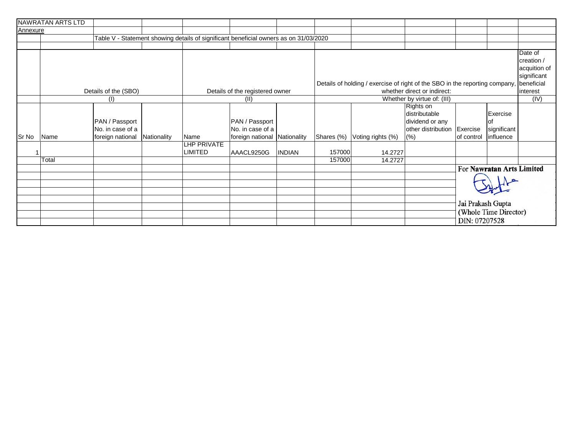|          | NAWRATAN ARTS LTD                  |                      |             |                                    |                                                                                       |               |            |                                                                             |                                               |                                            |                           |              |
|----------|------------------------------------|----------------------|-------------|------------------------------------|---------------------------------------------------------------------------------------|---------------|------------|-----------------------------------------------------------------------------|-----------------------------------------------|--------------------------------------------|---------------------------|--------------|
| Annexure |                                    |                      |             |                                    |                                                                                       |               |            |                                                                             |                                               |                                            |                           |              |
|          |                                    |                      |             |                                    | Table V - Statement showing details of significant beneficial owners as on 31/03/2020 |               |            |                                                                             |                                               |                                            |                           |              |
|          |                                    |                      |             |                                    |                                                                                       |               |            |                                                                             |                                               |                                            |                           |              |
|          |                                    |                      |             |                                    |                                                                                       |               |            |                                                                             |                                               |                                            |                           | Date of      |
|          |                                    |                      |             |                                    |                                                                                       |               |            |                                                                             |                                               |                                            |                           | creation /   |
|          |                                    |                      |             |                                    |                                                                                       |               |            |                                                                             |                                               |                                            |                           | acquition of |
|          |                                    |                      |             |                                    |                                                                                       |               |            |                                                                             |                                               |                                            |                           | significant  |
|          |                                    |                      |             |                                    |                                                                                       |               |            | Details of holding / exercise of right of the SBO in the reporting company, |                                               |                                            |                           | beneficial   |
|          |                                    | Details of the (SBO) |             |                                    | Details of the registered owner                                                       |               |            |                                                                             | whether direct or indirect:                   |                                            |                           | interest     |
|          |                                    | (1)                  |             |                                    | (II)                                                                                  |               |            | (IV)                                                                        |                                               |                                            |                           |              |
|          | PAN / Passport<br>No. in case of a |                      |             | PAN / Passport<br>No. in case of a |                                                                                       |               |            |                                                                             | Rights on<br>distributable<br>dividend or any |                                            | Exercise                  |              |
| Sr No    |                                    |                      |             | Name                               |                                                                                       |               |            |                                                                             | other distribution Exercise                   |                                            | significant<br>influence  |              |
|          | Name                               | foreign national     | Nationality |                                    | foreign national Nationality                                                          |               | Shares (%) | Voting rights (%)                                                           | (% )                                          | of control                                 |                           |              |
|          |                                    |                      |             | LHP PRIVATE<br>LIMITED             | AAACL9250G                                                                            | <b>INDIAN</b> | 157000     | 14.2727                                                                     |                                               |                                            |                           |              |
|          | Total                              |                      |             |                                    |                                                                                       |               | 157000     | 14.2727                                                                     |                                               |                                            |                           |              |
|          |                                    |                      |             |                                    |                                                                                       |               |            |                                                                             |                                               |                                            | For Nawratan Arts Limited |              |
|          |                                    |                      |             |                                    |                                                                                       |               |            |                                                                             |                                               |                                            |                           |              |
|          |                                    |                      |             |                                    |                                                                                       |               |            |                                                                             | DIN: 07207528                                 | Jai Prakash Gupta<br>(Whole Time Director) |                           |              |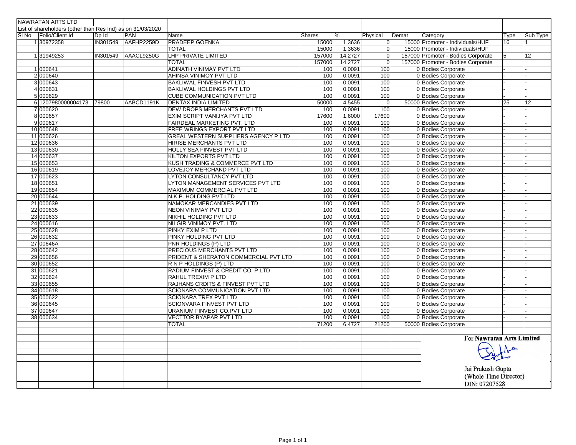| <b>NAWRATAN ARTS LTD</b>                                   |          |                     |                                       |               |         |                |                                    |      |          |
|------------------------------------------------------------|----------|---------------------|---------------------------------------|---------------|---------|----------------|------------------------------------|------|----------|
| List of shareholders (other than Res Ind) as on 31/03/2020 |          |                     |                                       |               |         |                |                                    |      |          |
| SI No Folio/Client Id                                      | Dp Id    | PAN                 | Name                                  | <b>Shares</b> | %       | Physical       | Category<br>Demat                  | Type | Sub Type |
| 130972358                                                  | IN301549 | AAFHP2259D          | <b>PRADEEP GOENKA</b>                 | 15000         | 1.3636  | 0              | 15000 Promoter - Individuals/HUF   | 16   |          |
|                                                            |          |                     | <b>TOTAL</b>                          | 15000         | 1.3636  | $\overline{0}$ | 15000 Promoter - Individuals/HUF   |      |          |
| 131949253                                                  |          | IN301549 AAACL9250G | <b>LHP PRIVATE LIMITED</b>            | 157000        | 14.2727 | $\Omega$       | 157000 Promoter - Bodies Corporate | 5    | 12       |
|                                                            |          |                     | <b>TOTAL</b>                          | 157000        | 14.2727 | $\Omega$       | 157000 Promoter - Bodies Corporate |      |          |
| 1 000641                                                   |          |                     | ADINATH VINIMAY PVT LTD               | 100           | 0.0091  | 100            | 0 Bodies Corporate                 |      |          |
| 2000640                                                    |          |                     | AHINSA VINIMOY PVT LTD                | 100           | 0.0091  | 100            | 0 Bodies Corporate                 |      |          |
| 3 000643                                                   |          |                     | BAKLIWAL FINVESH PVT LTD              | 100           | 0.0091  | 100            | 0 Bodies Corporate                 |      |          |
| 4 000631                                                   |          |                     | BAKLIWAL HOLDINGS PVT LTD             | 100           | 0.0091  | 100            | 0 Bodies Corporate                 |      |          |
| 5 000629                                                   |          |                     | <b>CUBE COMMUNICATION PVT LTD</b>     | 100           | 0.0091  | 100            | 0 Bodies Corporate                 |      |          |
| 6 1207980000004173                                         | 79800    | AABCD1191K          | <b>DENTAX INDIA LIMITED</b>           | 50000         | 4.5455  | $\mathbf 0$    | 50000 Bodies Corporate             | 25   | 12       |
| 7 000620                                                   |          |                     | DEW DROPS MERCHANTS PVT LTD           | 100           | 0.0091  | 100            | 0 Bodies Corporate                 |      |          |
| 8 000657                                                   |          |                     | EXIM SCRIPT VANIJYA PVT LTD           | 17600         | 1.6000  | 17600          | 0 Bodies Corporate                 |      |          |
| 9 000617                                                   |          |                     | FAIRDEAL MARKETING PVT. LTD           | 100           | 0.0091  | 100            | 0 Bodies Corporate                 |      |          |
| 10 000648                                                  |          |                     | FREE WRINGS EXPORT PVT LTD            | 100           | 0.0091  | 100            | 0 Bodies Corporate                 |      |          |
| 11 000626                                                  |          |                     | GREAL WESTERN SUPPLIERS AGENCY P LTD  | 100           | 0.0091  | 100            | 0 Bodies Corporate                 |      |          |
| 12 000636                                                  |          |                     | HIRISE MERCHANTS PVT LTD              | 100           | 0.0091  | 100            | 0 Bodies Corporate                 |      |          |
| 13 000630                                                  |          |                     | HOLLY SEA FINVEST PVT LTD             | 100           | 0.0091  | 100            | 0 Bodies Corporate                 |      |          |
| 14 000637                                                  |          |                     | KILTON EXPORTS PVT LTD                | 100           | 0.0091  | 100            | 0 Bodies Corporate                 |      |          |
| 15 000653                                                  |          |                     | KUSH TRADING & COMMERCE PVT LTD       | 100           | 0.0091  | 100            | 0 Bodies Corporate                 |      |          |
| 16 000619                                                  |          |                     | LOVEJOY MERCHAND PVT LTD              | 100           | 0.0091  | 100            | 0 Bodies Corporate                 |      |          |
| 17 000623                                                  |          |                     | LYTON CONSULTANCY PVT LTD             | 100           | 0.0091  | 100            | 0 Bodies Corporate                 |      |          |
| 18 000651                                                  |          |                     | LYTON MANAGEMENT SERVICES PVT LTD     | 100           | 0.0091  | 100            | 0 Bodies Corporate                 |      |          |
| 19 000654                                                  |          |                     | MAXIMUM COMMERCIAL PVT LTD            | 100           | 0.0091  | 100            | 0 Bodies Corporate                 |      |          |
| 20 000644                                                  |          |                     | N.K.P. HOLDING PVT LTD                | 100           | 0.0091  | 100            | 0 Bodies Corporate                 |      |          |
| 21 000639                                                  |          |                     | NAMOKAR MERCANDIES PVT LTD            | 100           | 0.0091  | 100            | 0 Bodies Corporate                 |      |          |
| 22 000635                                                  |          |                     | <b>NEON VINIMAY PVT LTD</b>           | 100           | 0.0091  | 100            | 0 Bodies Corporate                 |      |          |
| 23 000633                                                  |          |                     | NIKHIL HOLDING PVT LTD                | 100           | 0.0091  | 100            | 0 Bodies Corporate                 |      |          |
| 24 000616                                                  |          |                     | NILGIR VINIMOY PVT. LTD               | 100           | 0.0091  | 100            | 0 Bodies Corporate                 |      |          |
| 25 000628                                                  |          |                     | PINKY EXIM P LTD                      | 100           | 0.0091  | 100            | 0 Bodies Corporate                 |      |          |
| 26 000632                                                  |          |                     | PINKY HOLDING PVT LTD                 | 100           | 0.0091  | 100            | 0 Bodies Corporate                 |      |          |
| 27 00646A                                                  |          |                     | PNR HOLDINGS (P) LTD                  | 100           | 0.0091  | 100            | 0 Bodies Corporate                 |      |          |
| 28 000642                                                  |          |                     | PRECIOUS MERCHANTS PVT LTD            | 100           | 0.0091  | 100            | 0 Bodies Corporate                 |      |          |
| 29 000656                                                  |          |                     | PRIDENT & SHERATON COMMERCIAL PVT LTD | 100           | 0.0091  | 100            | 0 Bodies Corporate                 |      |          |
| 30 000652                                                  |          |                     | R N P HOLDINGS (P) LTD                | 100           | 0.0091  | 100            | 0 Bodies Corporate                 |      |          |
| 31 000621                                                  |          |                     | RADIUM FINVEST & CREDIT CO. P LTD     | 100           | 0.0091  | 100            | 0 Bodies Corporate                 |      |          |
| 32 000624                                                  |          |                     | RAHUL TREXIM P LTD                    | 100           | 0.0091  | 100            | 0 Bodies Corporate                 |      |          |
| 33 000655                                                  |          |                     | RAJHANS CRDITS & FINVEST PVT LTD      | 100           | 0.0091  | 100            | 0 Bodies Corporate                 |      |          |
| 34 000618                                                  |          |                     | SCIONARA COMMUNICATION PVT LTD        | 100           | 0.0091  | 100            | 0 Bodies Corporate                 |      |          |
| 35 000622                                                  |          |                     | <b>SCIONARA TREX PVT LTD</b>          | 100           | 0.0091  | 100            | 0 Bodies Corporate                 |      |          |
| 36 000645                                                  |          |                     | <b>SCIONVARA FINVEST PVT LTD</b>      | 100           | 0.0091  | 100            | 0 Bodies Corporate                 |      |          |
| 37 000647                                                  |          |                     | URANIUM FINVEST CO.PVT LTD            | 100           | 0.0091  | 100            | 0 Bodies Corporate                 |      |          |
| 38 000634                                                  |          |                     | <b>VECTTOR BYAPAR PVT LTD</b>         | 100           | 0.0091  | 100            | 0 Bodies Corporate                 |      |          |
|                                                            |          |                     | <b>TOTAL</b>                          | 71200         | 6.4727  | 21200          | 50000 Bodies Corporate             |      |          |
|                                                            |          |                     |                                       |               |         |                |                                    |      |          |
|                                                            |          |                     |                                       |               |         |                | For Nawratan Arts Limited          |      |          |
|                                                            |          |                     |                                       |               |         |                |                                    |      |          |
|                                                            |          |                     |                                       |               |         |                |                                    |      |          |
|                                                            |          |                     |                                       |               |         |                |                                    |      |          |
|                                                            |          |                     |                                       |               |         |                |                                    |      |          |
|                                                            |          |                     |                                       |               |         |                | Jai Prakash Gupta                  |      |          |
|                                                            |          |                     |                                       |               |         |                | (Whole Time Director)              |      |          |
|                                                            |          |                     |                                       |               |         |                | DIN: 07207528                      |      |          |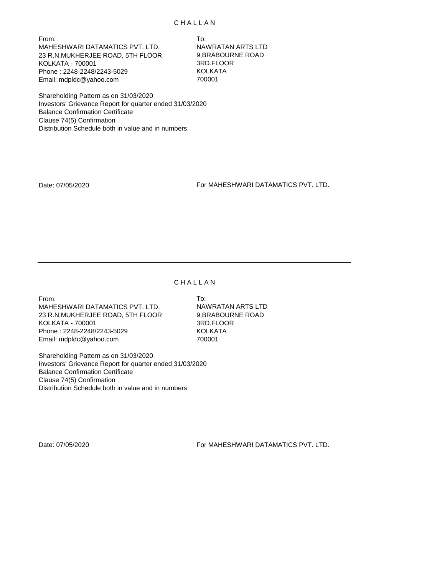From: To: MAHESHWARI DATAMATICS PVT. LTD. NAWRATAN ARTS LTD 23 R.N.MUKHERJEE ROAD, 5TH FLOOR 9,BRABOURNE ROAD KOLKATA - 700001 3RD.FLOOR Phone: 2248-2248/2243-5029 KOLKATA Email: mdpldc@yahoo.com 700001

Shareholding Pattern as on 31/03/2020 Investors' Grievance Report for quarter ended 31/03/2020 Balance Confirmation Certificate Clause 74(5) Confirmation Distribution Schedule both in value and in numbers

Date: 07/05/2020 For MAHESHWARI DATAMATICS PVT. LTD.

#### C H A L L A N

From: To: MAHESHWARI DATAMATICS PVT. LTD. NAWRATAN ARTS LTD 23 R.N.MUKHERJEE ROAD, 5TH FLOOR 9,BRABOURNE ROAD KOLKATA - 700001 3RD.FLOOR Phone : 2248-2248/2243-5029 KOLKATA Email: mdpldc@yahoo.com 700001

Shareholding Pattern as on 31/03/2020 Investors' Grievance Report for quarter ended 31/03/2020 Balance Confirmation Certificate Clause 74(5) Confirmation Distribution Schedule both in value and in numbers

Date: 07/05/2020 For MAHESHWARI DATAMATICS PVT. LTD.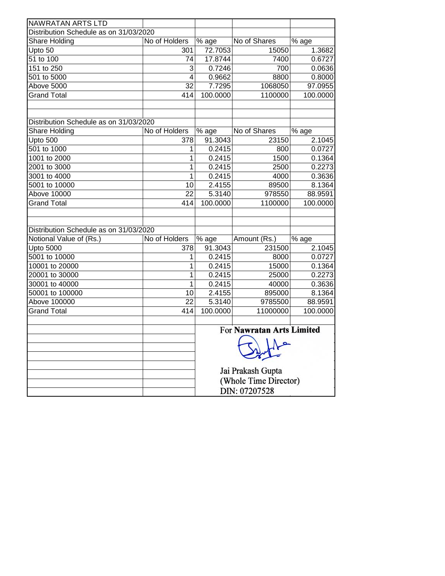| <b>NAWRATAN ARTS LTD</b>               |                 |               |                           |                     |  |  |  |  |  |
|----------------------------------------|-----------------|---------------|---------------------------|---------------------|--|--|--|--|--|
| Distribution Schedule as on 31/03/2020 |                 |               |                           |                     |  |  |  |  |  |
| Share Holding                          | No of Holders   | % age         | No of Shares              | $\overline{\%}$ age |  |  |  |  |  |
| Upto 50                                | 301             | 72.7053       | 15050                     | 1.3682              |  |  |  |  |  |
| $51$ to $100$                          | 74              | 17.8744       | 7400                      | 0.6727              |  |  |  |  |  |
| 151 to 250                             | 3               | 0.7246        | 700                       | 0.0636              |  |  |  |  |  |
| 501 to 5000                            | $\overline{4}$  | 0.9662        | 8800                      | 0.8000              |  |  |  |  |  |
| Above 5000                             | $\overline{32}$ | 7.7295        | 1068050                   | 97.0955             |  |  |  |  |  |
| <b>Grand Total</b>                     | 414             | 100.0000      | 1100000                   | 100.0000            |  |  |  |  |  |
|                                        |                 |               |                           |                     |  |  |  |  |  |
|                                        |                 |               |                           |                     |  |  |  |  |  |
| Distribution Schedule as on 31/03/2020 |                 |               |                           |                     |  |  |  |  |  |
| Share Holding                          | No of Holders   | $%$ age       | No of Shares              | $%$ age             |  |  |  |  |  |
| Upto 500                               | 378             | 91.3043       | 23150                     | 2.1045              |  |  |  |  |  |
| 501 to 1000                            | 1               | 0.2415        | 800                       | 0.0727              |  |  |  |  |  |
| 1001 to 2000                           | 1               | 0.2415        | 1500                      | 0.1364              |  |  |  |  |  |
| 2001 to 3000                           | 1               | 0.2415        | 2500                      | 0.2273              |  |  |  |  |  |
| 3001 to 4000                           | 1               | 0.2415        | 4000                      | 0.3636              |  |  |  |  |  |
| 5001 to 10000                          | 10              | 2.4155        | 89500                     | 8.1364              |  |  |  |  |  |
| Above 10000                            | $\overline{22}$ | 5.3140        | 978550                    | 88.9591             |  |  |  |  |  |
| <b>Grand Total</b>                     | 414             | 100.0000      | 1100000                   | 100.0000            |  |  |  |  |  |
|                                        |                 |               |                           |                     |  |  |  |  |  |
|                                        |                 |               |                           |                     |  |  |  |  |  |
| Distribution Schedule as on 31/03/2020 |                 |               |                           |                     |  |  |  |  |  |
| Notional Value of (Rs.)                | No of Holders   | % age         | Amount (Rs.)              | % age               |  |  |  |  |  |
| <b>Upto 5000</b>                       | 378             | 91.3043       | 231500                    | 2.1045              |  |  |  |  |  |
| 5001 to 10000                          | 1               | 0.2415        | 8000                      | 0.0727              |  |  |  |  |  |
| 10001 to 20000                         | 1               | 0.2415        | 15000                     | 0.1364              |  |  |  |  |  |
| 20001 to 30000                         | 1               | 0.2415        | 25000                     | 0.2273              |  |  |  |  |  |
| 30001 to 40000                         | $\mathbf 1$     | 0.2415        | 40000                     | 0.3636              |  |  |  |  |  |
| 50001 to 100000                        | 10              | 2.4155        | 895000                    | 8.1364              |  |  |  |  |  |
| Above 100000                           | 22              | 5.3140        | 9785500                   | 88.9591             |  |  |  |  |  |
| <b>Grand Total</b>                     | 414             | 100.0000      | 11000000                  | 100.0000            |  |  |  |  |  |
|                                        |                 |               |                           |                     |  |  |  |  |  |
|                                        |                 |               | For Nawratan Arts Limited |                     |  |  |  |  |  |
|                                        |                 |               |                           |                     |  |  |  |  |  |
|                                        |                 |               |                           |                     |  |  |  |  |  |
|                                        |                 |               |                           |                     |  |  |  |  |  |
|                                        |                 |               | Jai Prakash Gupta         |                     |  |  |  |  |  |
|                                        |                 |               | (Whole Time Director)     |                     |  |  |  |  |  |
|                                        |                 |               |                           |                     |  |  |  |  |  |
|                                        |                 | DIN: 07207528 |                           |                     |  |  |  |  |  |